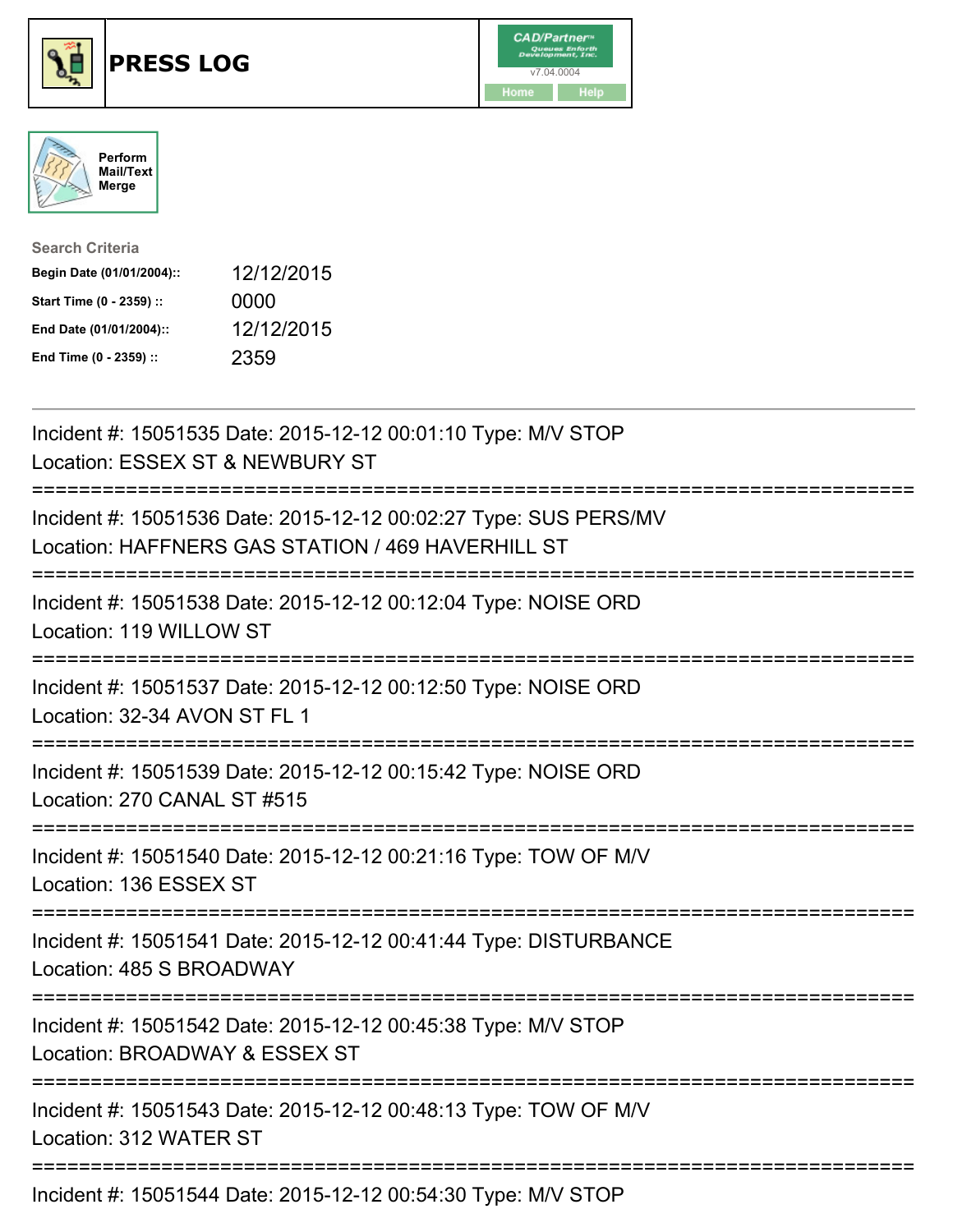





| <b>Search Criteria</b>    |            |
|---------------------------|------------|
| Begin Date (01/01/2004):: | 12/12/2015 |
| Start Time (0 - 2359) ::  | 0000       |
| End Date (01/01/2004)::   | 12/12/2015 |
| End Time (0 - 2359) ::    | 2359       |

| Incident #: 15051535 Date: 2015-12-12 00:01:10 Type: M/V STOP<br>Location: ESSEX ST & NEWBURY ST                      |
|-----------------------------------------------------------------------------------------------------------------------|
| Incident #: 15051536 Date: 2015-12-12 00:02:27 Type: SUS PERS/MV<br>Location: HAFFNERS GAS STATION / 469 HAVERHILL ST |
| Incident #: 15051538 Date: 2015-12-12 00:12:04 Type: NOISE ORD<br>Location: 119 WILLOW ST<br>;======================  |
| Incident #: 15051537 Date: 2015-12-12 00:12:50 Type: NOISE ORD<br>Location: 32-34 AVON ST FL 1                        |
| Incident #: 15051539 Date: 2015-12-12 00:15:42 Type: NOISE ORD<br>Location: 270 CANAL ST #515<br>==================== |
| Incident #: 15051540 Date: 2015-12-12 00:21:16 Type: TOW OF M/V<br>Location: 136 ESSEX ST                             |
| Incident #: 15051541 Date: 2015-12-12 00:41:44 Type: DISTURBANCE<br>Location: 485 S BROADWAY                          |
| Incident #: 15051542 Date: 2015-12-12 00:45:38 Type: M/V STOP<br>Location: BROADWAY & ESSEX ST                        |
| Incident #: 15051543 Date: 2015-12-12 00:48:13 Type: TOW OF M/V<br>Location: 312 WATER ST                             |
| Incident #: 15051544 Date: 2015-12-12 00:54:30 Type: M/V STOP                                                         |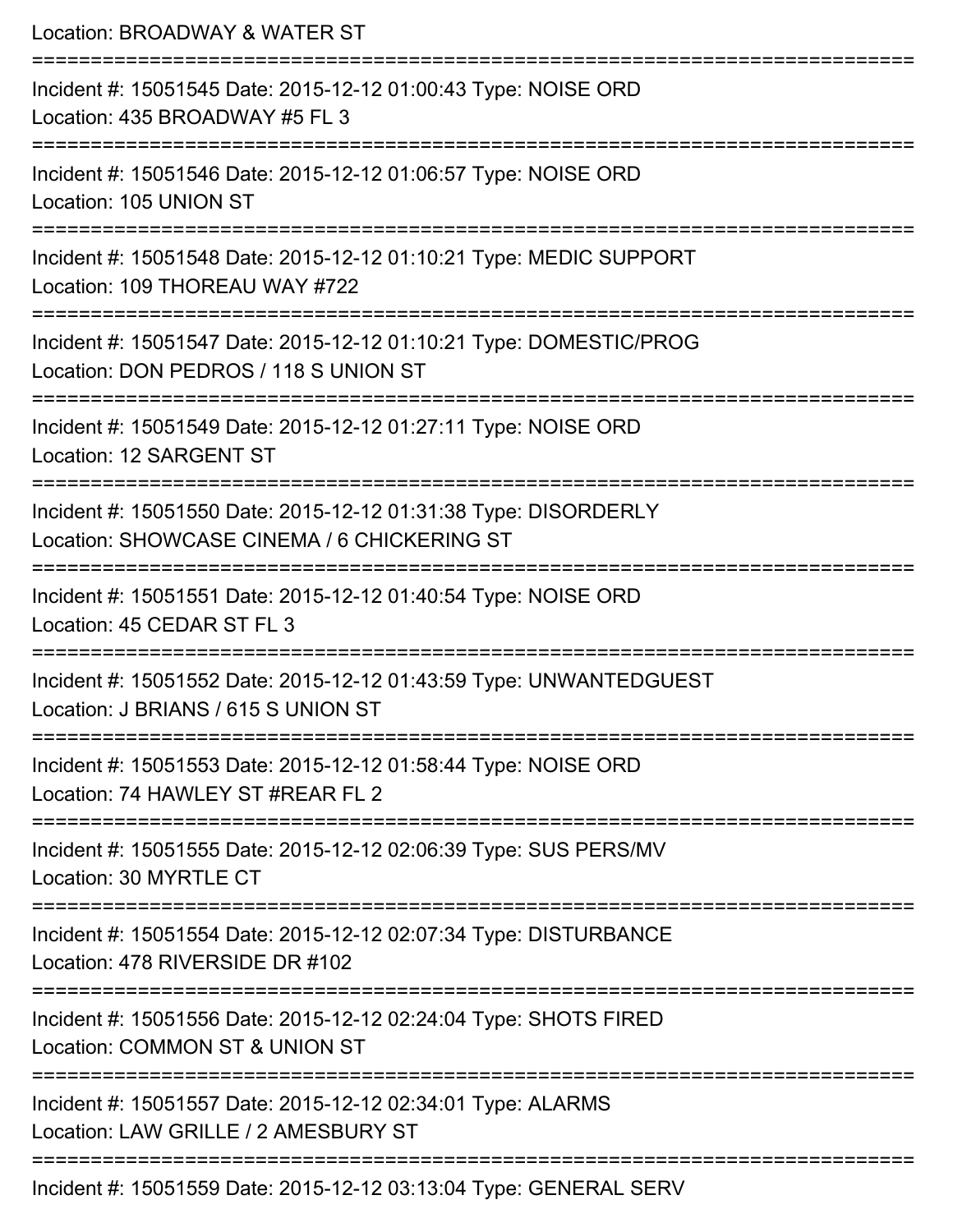| Location: BROADWAY & WATER ST                                                                                                 |
|-------------------------------------------------------------------------------------------------------------------------------|
| Incident #: 15051545 Date: 2015-12-12 01:00:43 Type: NOISE ORD<br>Location: 435 BROADWAY #5 FL 3                              |
| Incident #: 15051546 Date: 2015-12-12 01:06:57 Type: NOISE ORD<br>Location: 105 UNION ST                                      |
| Incident #: 15051548 Date: 2015-12-12 01:10:21 Type: MEDIC SUPPORT<br>Location: 109 THOREAU WAY #722<br>--------------------- |
| Incident #: 15051547 Date: 2015-12-12 01:10:21 Type: DOMESTIC/PROG<br>Location: DON PEDROS / 118 S UNION ST                   |
| Incident #: 15051549 Date: 2015-12-12 01:27:11 Type: NOISE ORD<br>Location: 12 SARGENT ST                                     |
| Incident #: 15051550 Date: 2015-12-12 01:31:38 Type: DISORDERLY<br>Location: SHOWCASE CINEMA / 6 CHICKERING ST                |
| Incident #: 15051551 Date: 2015-12-12 01:40:54 Type: NOISE ORD<br>Location: 45 CEDAR ST FL 3                                  |
| Incident #: 15051552 Date: 2015-12-12 01:43:59 Type: UNWANTEDGUEST<br>Location: J BRIANS / 615 S UNION ST                     |
| Incident #: 15051553 Date: 2015-12-12 01:58:44 Type: NOISE ORD<br>Location: 74 HAWLEY ST #REAR FL 2                           |
| Incident #: 15051555 Date: 2015-12-12 02:06:39 Type: SUS PERS/MV<br>Location: 30 MYRTLE CT                                    |
| Incident #: 15051554 Date: 2015-12-12 02:07:34 Type: DISTURBANCE<br>Location: 478 RIVERSIDE DR #102                           |
| Incident #: 15051556 Date: 2015-12-12 02:24:04 Type: SHOTS FIRED<br>Location: COMMON ST & UNION ST                            |
| Incident #: 15051557 Date: 2015-12-12 02:34:01 Type: ALARMS<br>Location: LAW GRILLE / 2 AMESBURY ST                           |
| Incident #: 15051559 Date: 2015-12-12 03:13:04 Type: GENERAL SERV                                                             |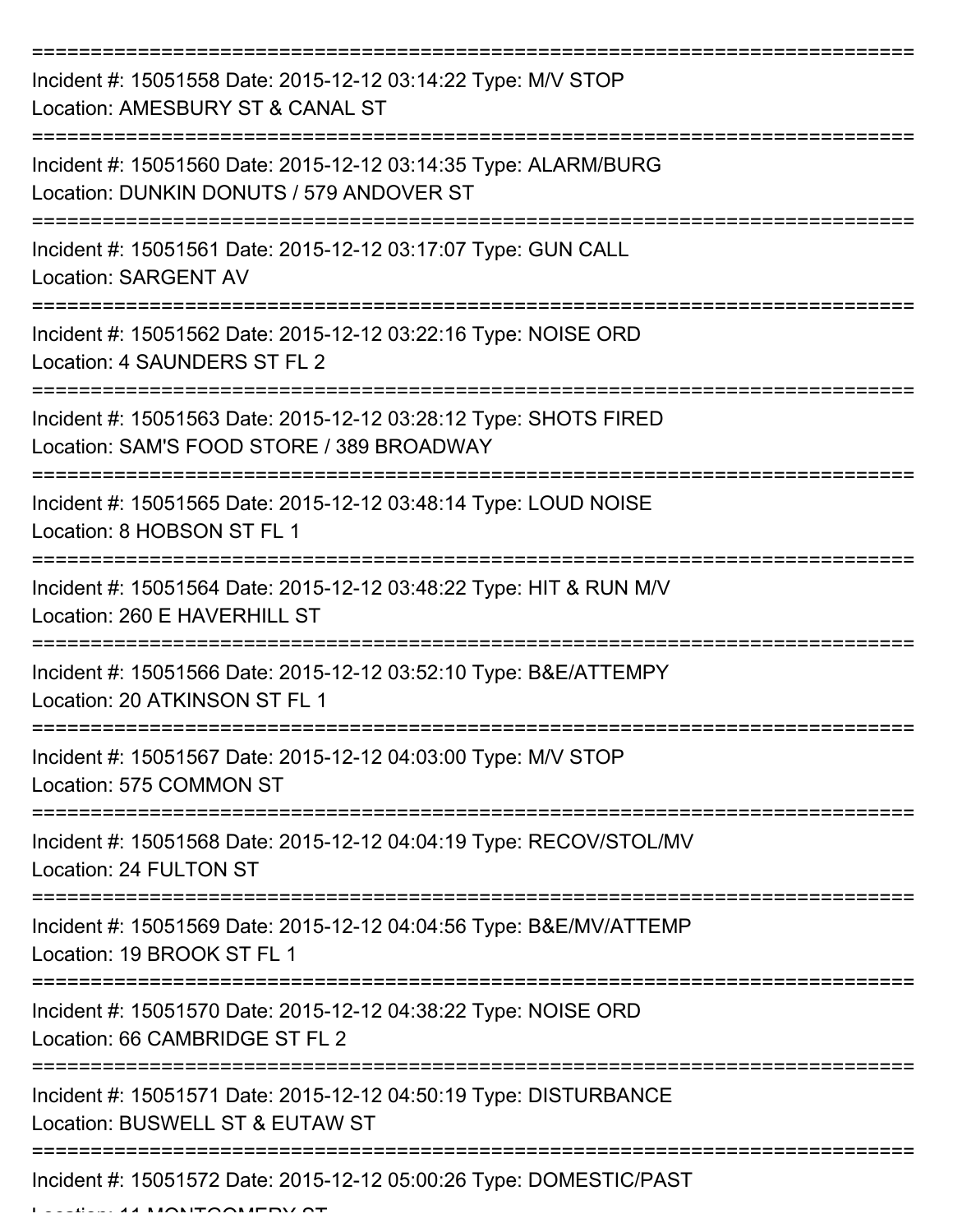| Incident #: 15051558 Date: 2015-12-12 03:14:22 Type: M/V STOP<br>Location: AMESBURY ST & CANAL ST                                    |
|--------------------------------------------------------------------------------------------------------------------------------------|
| Incident #: 15051560 Date: 2015-12-12 03:14:35 Type: ALARM/BURG<br>Location: DUNKIN DONUTS / 579 ANDOVER ST                          |
| Incident #: 15051561 Date: 2015-12-12 03:17:07 Type: GUN CALL<br><b>Location: SARGENT AV</b>                                         |
| Incident #: 15051562 Date: 2015-12-12 03:22:16 Type: NOISE ORD<br>Location: 4 SAUNDERS ST FL 2                                       |
| Incident #: 15051563 Date: 2015-12-12 03:28:12 Type: SHOTS FIRED<br>Location: SAM'S FOOD STORE / 389 BROADWAY<br>=================== |
| Incident #: 15051565 Date: 2015-12-12 03:48:14 Type: LOUD NOISE<br>Location: 8 HOBSON ST FL 1                                        |
| Incident #: 15051564 Date: 2015-12-12 03:48:22 Type: HIT & RUN M/V<br>Location: 260 E HAVERHILL ST                                   |
| Incident #: 15051566 Date: 2015-12-12 03:52:10 Type: B&E/ATTEMPY<br>Location: 20 ATKINSON ST FL 1                                    |
| Incident #: 15051567 Date: 2015-12-12 04:03:00 Type: M/V STOP<br>Location: 575 COMMON ST                                             |
| Incident #: 15051568 Date: 2015-12-12 04:04:19 Type: RECOV/STOL/MV<br>Location: 24 FULTON ST                                         |
| Incident #: 15051569 Date: 2015-12-12 04:04:56 Type: B&E/MV/ATTEMP<br>Location: 19 BROOK ST FL 1                                     |
| Incident #: 15051570 Date: 2015-12-12 04:38:22 Type: NOISE ORD<br>Location: 66 CAMBRIDGE ST FL 2                                     |
| Incident #: 15051571 Date: 2015-12-12 04:50:19 Type: DISTURBANCE<br>Location: BUSWELL ST & EUTAW ST                                  |
| Incident #: 15051572 Date: 2015-12-12 05:00:26 Type: DOMESTIC/PAST                                                                   |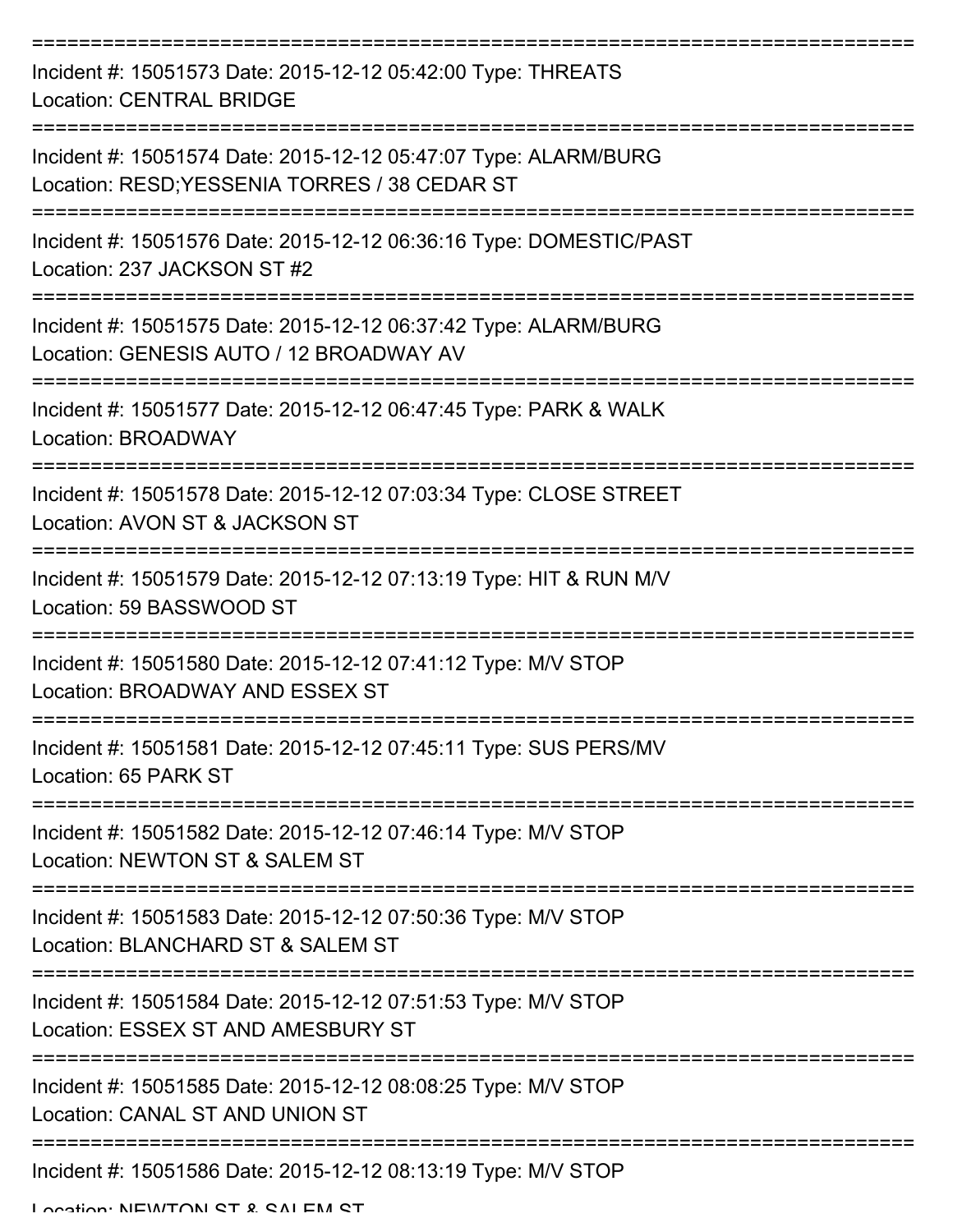| Incident #: 15051573 Date: 2015-12-12 05:42:00 Type: THREATS<br><b>Location: CENTRAL BRIDGE</b>                  |
|------------------------------------------------------------------------------------------------------------------|
| Incident #: 15051574 Date: 2015-12-12 05:47:07 Type: ALARM/BURG<br>Location: RESD; YESSENIA TORRES / 38 CEDAR ST |
| Incident #: 15051576 Date: 2015-12-12 06:36:16 Type: DOMESTIC/PAST<br>Location: 237 JACKSON ST #2                |
| Incident #: 15051575 Date: 2015-12-12 06:37:42 Type: ALARM/BURG<br>Location: GENESIS AUTO / 12 BROADWAY AV       |
| Incident #: 15051577 Date: 2015-12-12 06:47:45 Type: PARK & WALK<br>Location: BROADWAY                           |
| Incident #: 15051578 Date: 2015-12-12 07:03:34 Type: CLOSE STREET<br>Location: AVON ST & JACKSON ST              |
| Incident #: 15051579 Date: 2015-12-12 07:13:19 Type: HIT & RUN M/V<br>Location: 59 BASSWOOD ST                   |
| Incident #: 15051580 Date: 2015-12-12 07:41:12 Type: M/V STOP<br>Location: BROADWAY AND ESSEX ST                 |
| Incident #: 15051581 Date: 2015-12-12 07:45:11 Type: SUS PERS/MV<br>Location: 65 PARK ST                         |
| Incident #: 15051582 Date: 2015-12-12 07:46:14 Type: M/V STOP<br>Location: NEWTON ST & SALEM ST                  |
| Incident #: 15051583 Date: 2015-12-12 07:50:36 Type: M/V STOP<br>Location: BLANCHARD ST & SALEM ST               |
| Incident #: 15051584 Date: 2015-12-12 07:51:53 Type: M/V STOP<br>Location: ESSEX ST AND AMESBURY ST              |
| Incident #: 15051585 Date: 2015-12-12 08:08:25 Type: M/V STOP<br><b>Location: CANAL ST AND UNION ST</b>          |
| Incident #: 15051586 Date: 2015-12-12 08:13:19 Type: M/V STOP<br>Location: MEWITON CT & CALEM CT                 |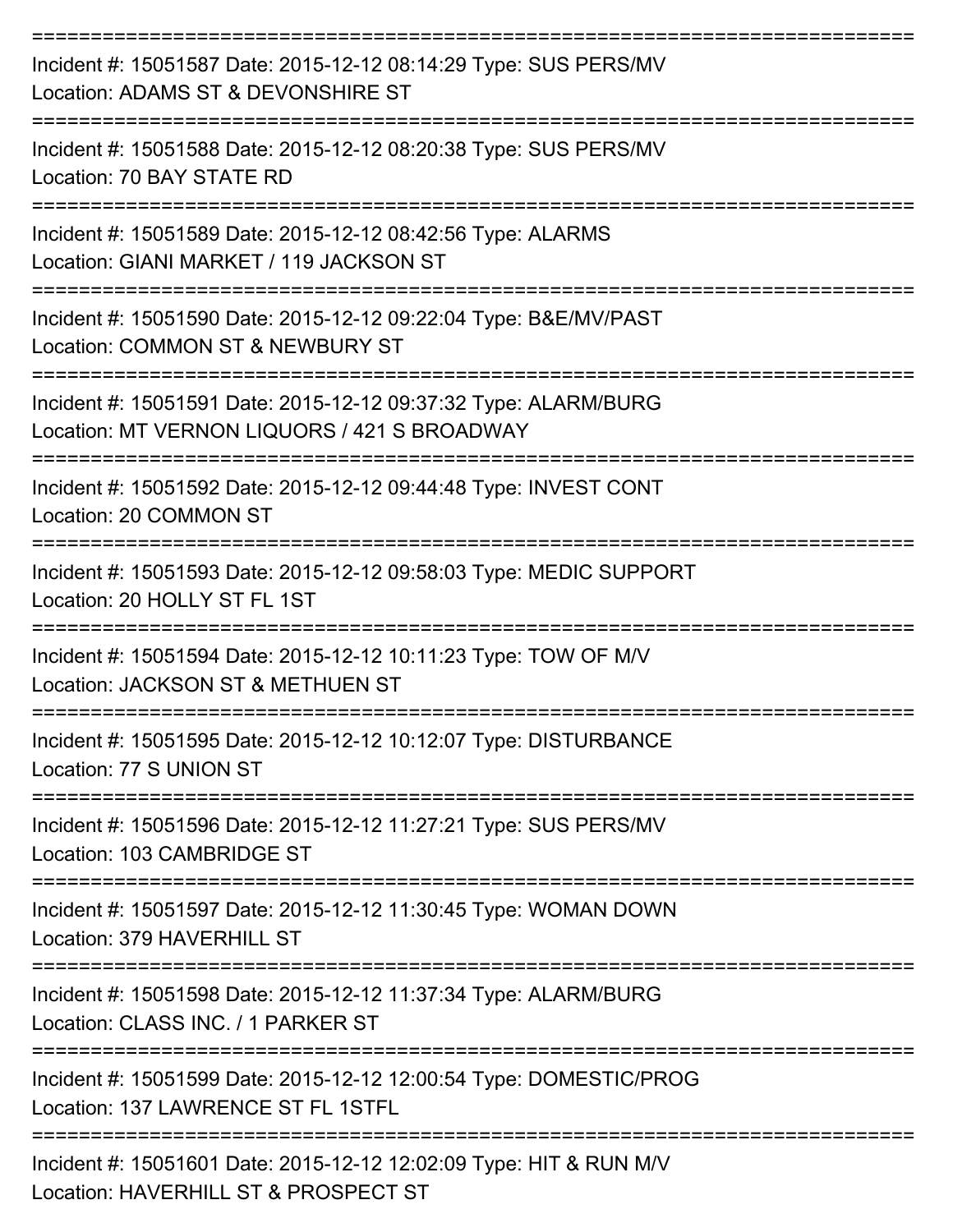| Incident #: 15051587 Date: 2015-12-12 08:14:29 Type: SUS PERS/MV<br>Location: ADAMS ST & DEVONSHIRE ST              |
|---------------------------------------------------------------------------------------------------------------------|
| Incident #: 15051588 Date: 2015-12-12 08:20:38 Type: SUS PERS/MV<br>Location: 70 BAY STATE RD                       |
| Incident #: 15051589 Date: 2015-12-12 08:42:56 Type: ALARMS<br>Location: GIANI MARKET / 119 JACKSON ST              |
| Incident #: 15051590 Date: 2015-12-12 09:22:04 Type: B&E/MV/PAST<br>Location: COMMON ST & NEWBURY ST                |
| Incident #: 15051591 Date: 2015-12-12 09:37:32 Type: ALARM/BURG<br>Location: MT VERNON LIQUORS / 421 S BROADWAY     |
| Incident #: 15051592 Date: 2015-12-12 09:44:48 Type: INVEST CONT<br>Location: 20 COMMON ST                          |
| Incident #: 15051593 Date: 2015-12-12 09:58:03 Type: MEDIC SUPPORT<br>Location: 20 HOLLY ST FL 1ST                  |
| Incident #: 15051594 Date: 2015-12-12 10:11:23 Type: TOW OF M/V<br>Location: JACKSON ST & METHUEN ST                |
| Incident #: 15051595 Date: 2015-12-12 10:12:07 Type: DISTURBANCE<br>Location: 77 S UNION ST                         |
| -----------------<br>Incident #: 15051596 Date: 2015-12-12 11:27:21 Type: SUS PERS/MV<br>Location: 103 CAMBRIDGE ST |
| Incident #: 15051597 Date: 2015-12-12 11:30:45 Type: WOMAN DOWN<br>Location: 379 HAVERHILL ST                       |
| Incident #: 15051598 Date: 2015-12-12 11:37:34 Type: ALARM/BURG<br>Location: CLASS INC. / 1 PARKER ST               |
| Incident #: 15051599 Date: 2015-12-12 12:00:54 Type: DOMESTIC/PROG<br>Location: 137 LAWRENCE ST FL 1STFL            |
| Incident #: 15051601 Date: 2015-12-12 12:02:09 Type: HIT & RUN M/V<br>Location: HAVERHILL ST & PROSPECT ST          |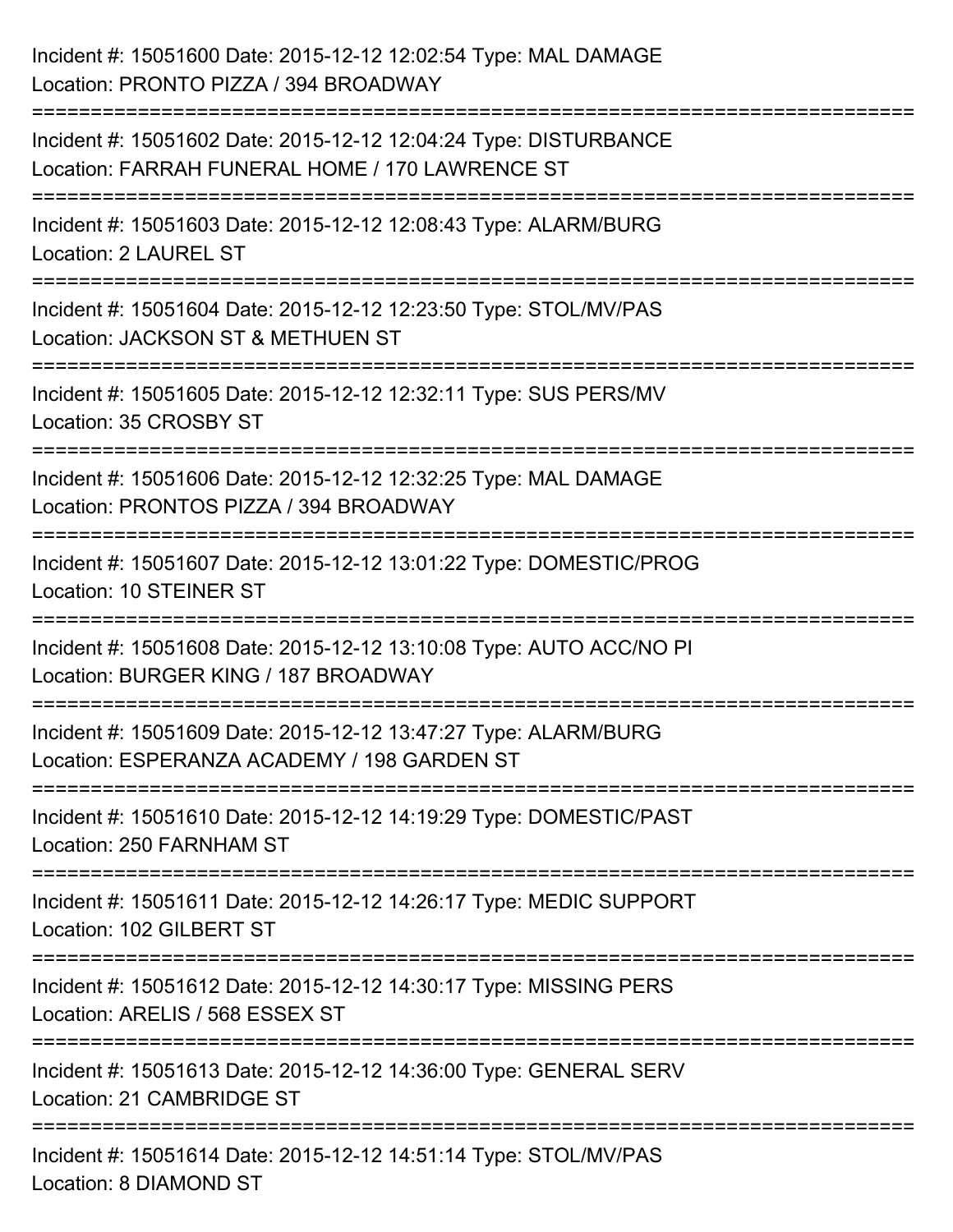| Incident #: 15051600 Date: 2015-12-12 12:02:54 Type: MAL DAMAGE<br>Location: PRONTO PIZZA / 394 BROADWAY                                    |
|---------------------------------------------------------------------------------------------------------------------------------------------|
| ====================<br>Incident #: 15051602 Date: 2015-12-12 12:04:24 Type: DISTURBANCE<br>Location: FARRAH FUNERAL HOME / 170 LAWRENCE ST |
| Incident #: 15051603 Date: 2015-12-12 12:08:43 Type: ALARM/BURG<br>Location: 2 LAUREL ST                                                    |
| Incident #: 15051604 Date: 2015-12-12 12:23:50 Type: STOL/MV/PAS<br>Location: JACKSON ST & METHUEN ST                                       |
| :========================<br>=============<br>Incident #: 15051605 Date: 2015-12-12 12:32:11 Type: SUS PERS/MV<br>Location: 35 CROSBY ST    |
| Incident #: 15051606 Date: 2015-12-12 12:32:25 Type: MAL DAMAGE<br>Location: PRONTOS PIZZA / 394 BROADWAY                                   |
| :22222222222222222<br>Incident #: 15051607 Date: 2015-12-12 13:01:22 Type: DOMESTIC/PROG<br><b>Location: 10 STEINER ST</b>                  |
| Incident #: 15051608 Date: 2015-12-12 13:10:08 Type: AUTO ACC/NO PI<br>Location: BURGER KING / 187 BROADWAY                                 |
| Incident #: 15051609 Date: 2015-12-12 13:47:27 Type: ALARM/BURG<br>Location: ESPERANZA ACADEMY / 198 GARDEN ST                              |
| Incident #: 15051610 Date: 2015-12-12 14:19:29 Type: DOMESTIC/PAST<br>Location: 250 FARNHAM ST                                              |
| Incident #: 15051611 Date: 2015-12-12 14:26:17 Type: MEDIC SUPPORT<br>Location: 102 GILBERT ST                                              |
| Incident #: 15051612 Date: 2015-12-12 14:30:17 Type: MISSING PERS<br>Location: ARELIS / 568 ESSEX ST                                        |
| Incident #: 15051613 Date: 2015-12-12 14:36:00 Type: GENERAL SERV<br>Location: 21 CAMBRIDGE ST                                              |
| Incident #: 15051614 Date: 2015-12-12 14:51:14 Type: STOL/MV/PAS<br>Location: 8 DIAMOND ST                                                  |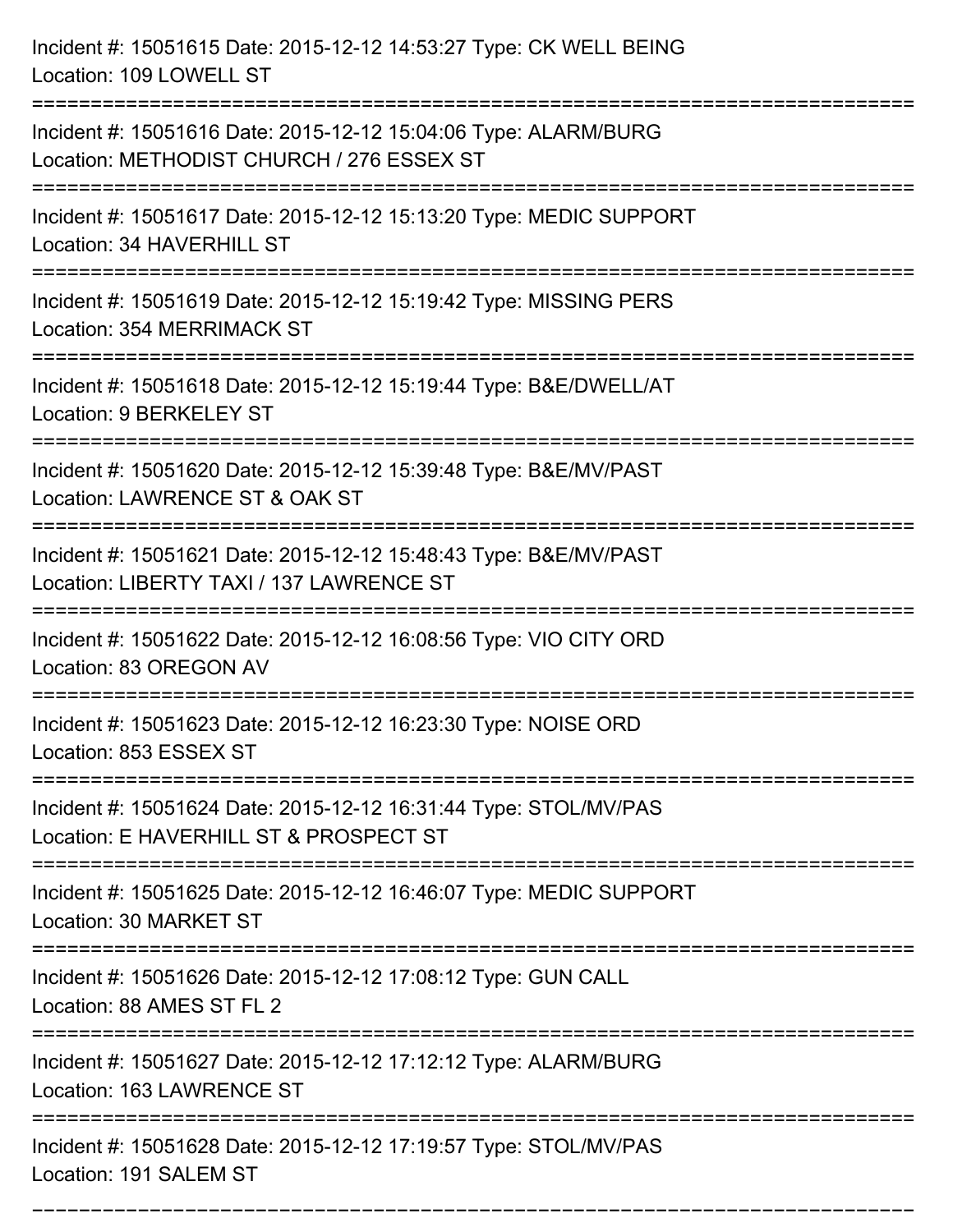| Incident #: 15051615 Date: 2015-12-12 14:53:27 Type: CK WELL BEING<br>Location: 109 LOWELL ST                                       |
|-------------------------------------------------------------------------------------------------------------------------------------|
| Incident #: 15051616 Date: 2015-12-12 15:04:06 Type: ALARM/BURG<br>Location: METHODIST CHURCH / 276 ESSEX ST                        |
| Incident #: 15051617 Date: 2015-12-12 15:13:20 Type: MEDIC SUPPORT<br>Location: 34 HAVERHILL ST                                     |
| Incident #: 15051619 Date: 2015-12-12 15:19:42 Type: MISSING PERS<br>Location: 354 MERRIMACK ST                                     |
| Incident #: 15051618 Date: 2015-12-12 15:19:44 Type: B&E/DWELL/AT<br>Location: 9 BERKELEY ST                                        |
| Incident #: 15051620 Date: 2015-12-12 15:39:48 Type: B&E/MV/PAST<br>Location: LAWRENCE ST & OAK ST                                  |
| Incident #: 15051621 Date: 2015-12-12 15:48:43 Type: B&E/MV/PAST<br>Location: LIBERTY TAXI / 137 LAWRENCE ST<br>=================== |
| Incident #: 15051622 Date: 2015-12-12 16:08:56 Type: VIO CITY ORD<br>Location: 83 OREGON AV                                         |
| Incident #: 15051623 Date: 2015-12-12 16:23:30 Type: NOISE ORD<br>Location: 853 ESSEX ST<br>==========================              |
| Incident #: 15051624 Date: 2015-12-12 16:31:44 Type: STOL/MV/PAS<br>Location: E HAVERHILL ST & PROSPECT ST                          |
| Incident #: 15051625 Date: 2015-12-12 16:46:07 Type: MEDIC SUPPORT<br>Location: 30 MARKET ST                                        |
| Incident #: 15051626 Date: 2015-12-12 17:08:12 Type: GUN CALL<br>Location: 88 AMES ST FL 2                                          |
| Incident #: 15051627 Date: 2015-12-12 17:12:12 Type: ALARM/BURG<br>Location: 163 LAWRENCE ST                                        |
| Incident #: 15051628 Date: 2015-12-12 17:19:57 Type: STOL/MV/PAS<br>Location: 191 SALEM ST                                          |

===========================================================================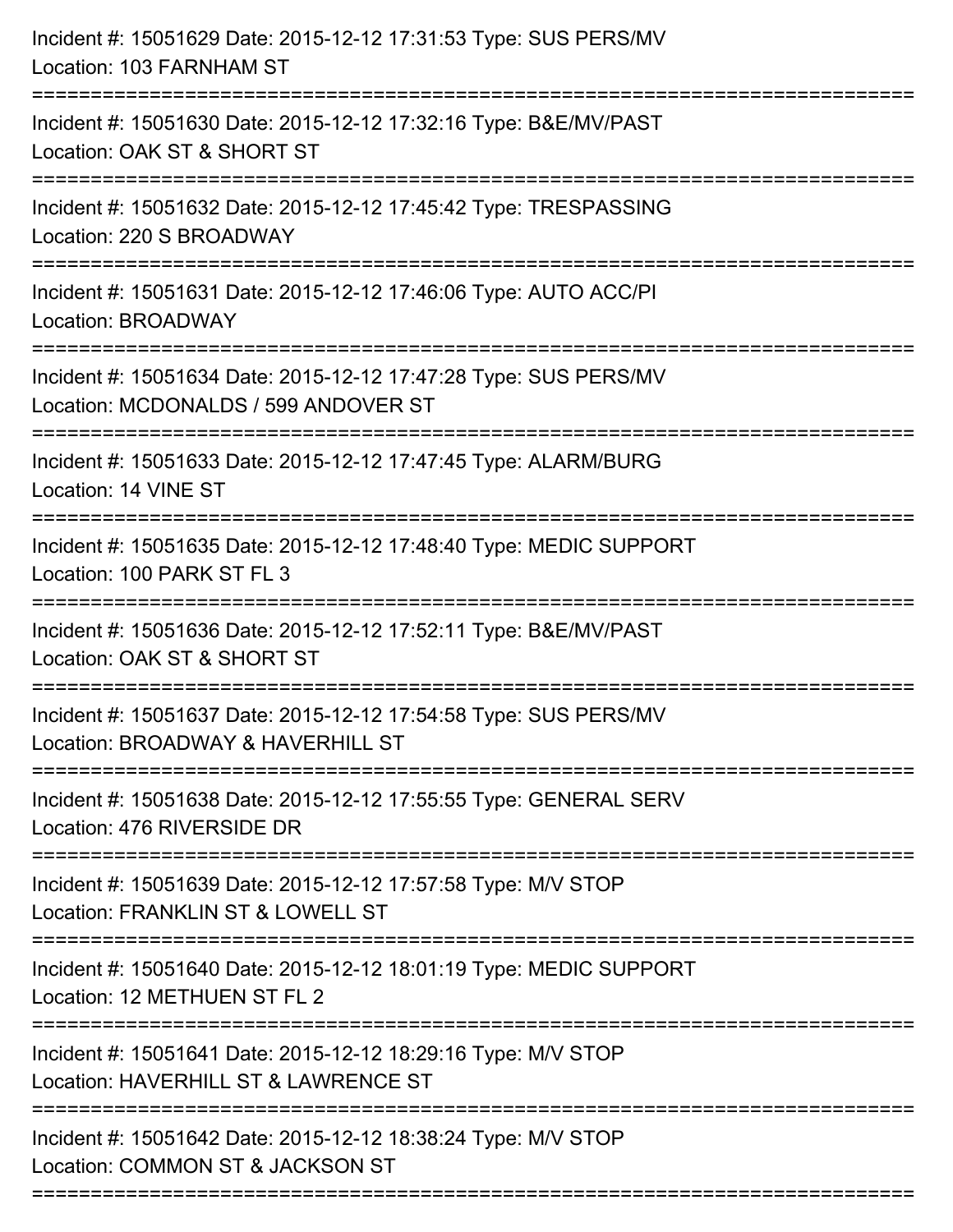| Incident #: 15051629 Date: 2015-12-12 17:31:53 Type: SUS PERS/MV<br>Location: 103 FARNHAM ST                                                                                    |
|---------------------------------------------------------------------------------------------------------------------------------------------------------------------------------|
| ======================<br>Incident #: 15051630 Date: 2015-12-12 17:32:16 Type: B&E/MV/PAST<br>Location: OAK ST & SHORT ST                                                       |
| Incident #: 15051632 Date: 2015-12-12 17:45:42 Type: TRESPASSING<br>Location: 220 S BROADWAY                                                                                    |
| Incident #: 15051631 Date: 2015-12-12 17:46:06 Type: AUTO ACC/PI<br>Location: BROADWAY                                                                                          |
| Incident #: 15051634 Date: 2015-12-12 17:47:28 Type: SUS PERS/MV<br>Location: MCDONALDS / 599 ANDOVER ST<br>====================                                                |
| Incident #: 15051633 Date: 2015-12-12 17:47:45 Type: ALARM/BURG<br>Location: 14 VINE ST                                                                                         |
| Incident #: 15051635 Date: 2015-12-12 17:48:40 Type: MEDIC SUPPORT<br>Location: 100 PARK ST FL 3                                                                                |
| Incident #: 15051636 Date: 2015-12-12 17:52:11 Type: B&E/MV/PAST<br>Location: OAK ST & SHORT ST                                                                                 |
| Incident #: 15051637 Date: 2015-12-12 17:54:58 Type: SUS PERS/MV<br>Location: BROADWAY & HAVERHILL ST                                                                           |
| Incident #: 15051638 Date: 2015-12-12 17:55:55 Type: GENERAL SERV<br>Location: 476 RIVERSIDE DR                                                                                 |
| Incident #: 15051639 Date: 2015-12-12 17:57:58 Type: M/V STOP<br>Location: FRANKLIN ST & LOWELL ST                                                                              |
| Incident #: 15051640 Date: 2015-12-12 18:01:19 Type: MEDIC SUPPORT<br>Location: 12 METHUEN ST FL 2                                                                              |
| Incident #: 15051641 Date: 2015-12-12 18:29:16 Type: M/V STOP<br>Location: HAVERHILL ST & LAWRENCE ST                                                                           |
| ================================<br>======================================<br>Incident #: 15051642 Date: 2015-12-12 18:38:24 Type: M/V STOP<br>Location: COMMON ST & JACKSON ST |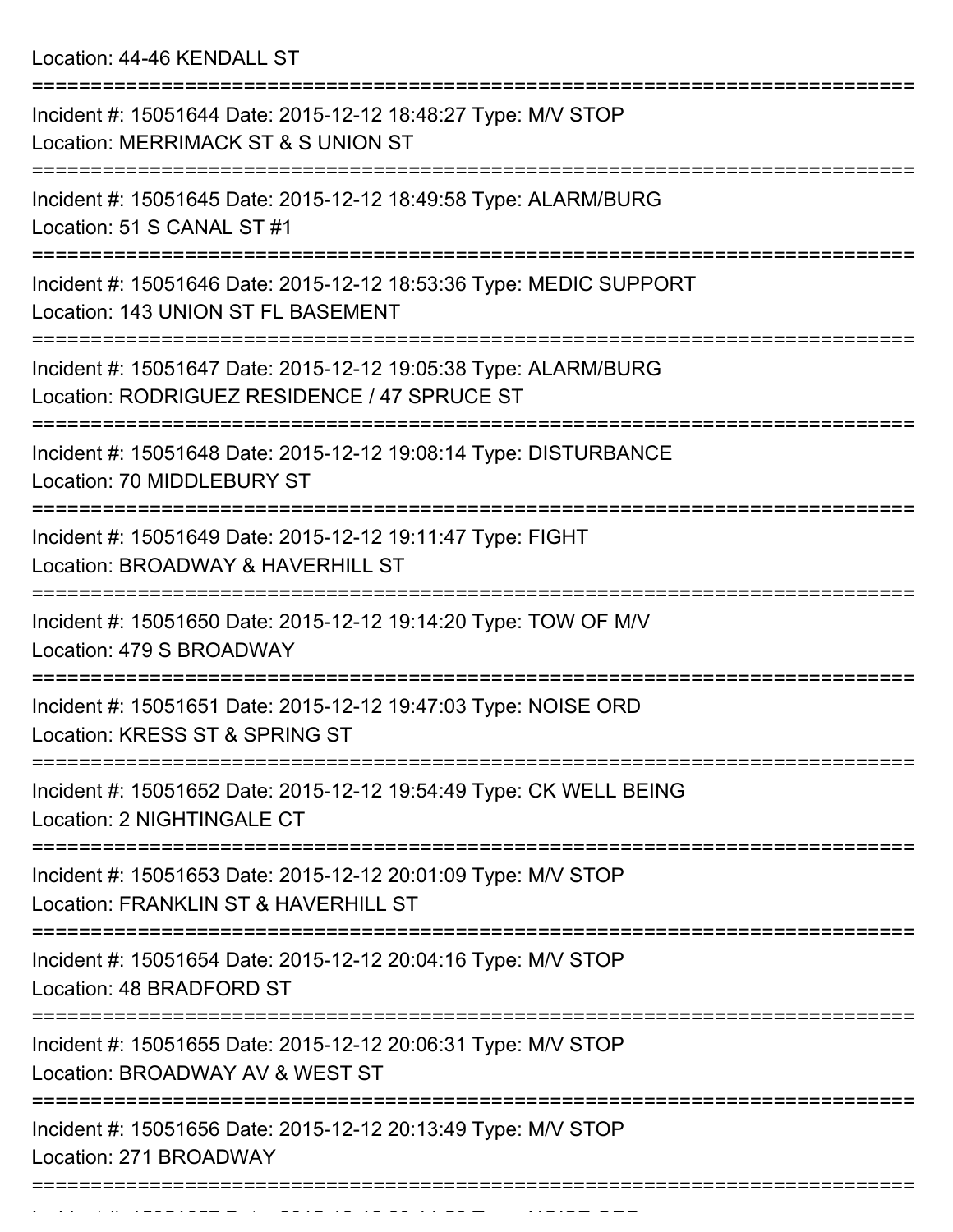Location: 44-46 KENDALL ST

| Incident #: 15051644 Date: 2015-12-12 18:48:27 Type: M/V STOP<br>Location: MERRIMACK ST & S UNION ST                                 |
|--------------------------------------------------------------------------------------------------------------------------------------|
| Incident #: 15051645 Date: 2015-12-12 18:49:58 Type: ALARM/BURG<br>Location: 51 S CANAL ST #1                                        |
| Incident #: 15051646 Date: 2015-12-12 18:53:36 Type: MEDIC SUPPORT<br>Location: 143 UNION ST FL BASEMENT                             |
| Incident #: 15051647 Date: 2015-12-12 19:05:38 Type: ALARM/BURG<br>Location: RODRIGUEZ RESIDENCE / 47 SPRUCE ST                      |
| Incident #: 15051648 Date: 2015-12-12 19:08:14 Type: DISTURBANCE<br>Location: 70 MIDDLEBURY ST                                       |
| :================================<br>Incident #: 15051649 Date: 2015-12-12 19:11:47 Type: FIGHT<br>Location: BROADWAY & HAVERHILL ST |
| Incident #: 15051650 Date: 2015-12-12 19:14:20 Type: TOW OF M/V<br>Location: 479 S BROADWAY                                          |
| Incident #: 15051651 Date: 2015-12-12 19:47:03 Type: NOISE ORD<br>Location: KRESS ST & SPRING ST                                     |
| Incident #: 15051652 Date: 2015-12-12 19:54:49 Type: CK WELL BEING<br>Location: 2 NIGHTINGALE CT                                     |
| =================<br>Incident #: 15051653 Date: 2015-12-12 20:01:09 Type: M/V STOP<br>Location: FRANKLIN ST & HAVERHILL ST           |
| Incident #: 15051654 Date: 2015-12-12 20:04:16 Type: M/V STOP<br>Location: 48 BRADFORD ST                                            |
| Incident #: 15051655 Date: 2015-12-12 20:06:31 Type: M/V STOP<br>Location: BROADWAY AV & WEST ST                                     |
| Incident #: 15051656 Date: 2015-12-12 20:13:49 Type: M/V STOP<br>Location: 271 BROADWAY                                              |
|                                                                                                                                      |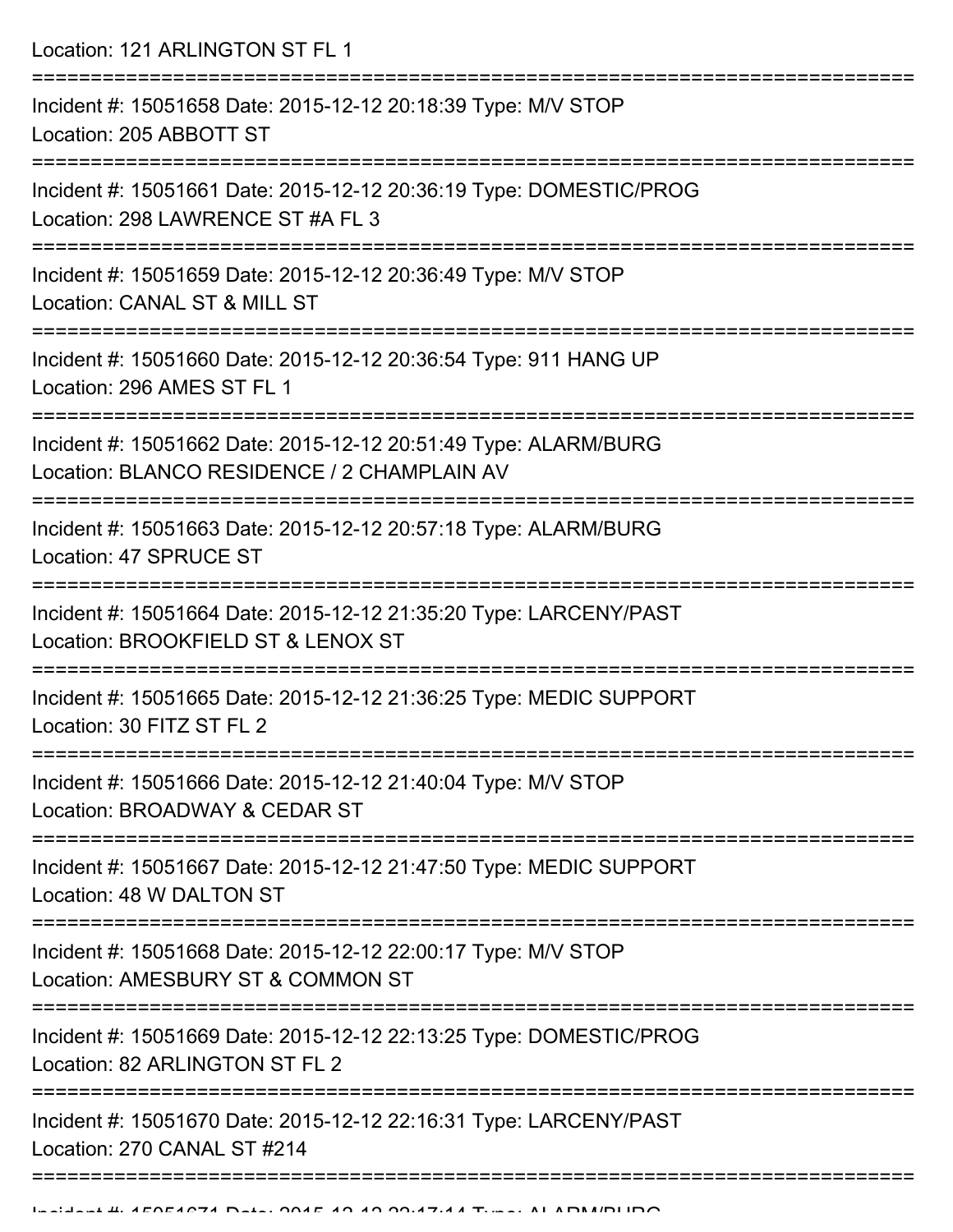Location: 121 ARLINGTON ST FL 1 =========================================================================== Incident #: 15051658 Date: 2015-12-12 20:18:39 Type: M/V STOP Location: 205 ABBOTT ST =========================================================================== Incident #: 15051661 Date: 2015-12-12 20:36:19 Type: DOMESTIC/PROG Location: 298 LAWRENCE ST #A FL 3 =========================================================================== Incident #: 15051659 Date: 2015-12-12 20:36:49 Type: M/V STOP Location: CANAL ST & MILL ST =========================================================================== Incident #: 15051660 Date: 2015-12-12 20:36:54 Type: 911 HANG UP Location: 296 AMES ST FL 1 =========================================================================== Incident #: 15051662 Date: 2015-12-12 20:51:49 Type: ALARM/BURG Location: BLANCO RESIDENCE / 2 CHAMPLAIN AV =========================================================================== Incident #: 15051663 Date: 2015-12-12 20:57:18 Type: ALARM/BURG Location: 47 SPRUCE ST =========================================================================== Incident #: 15051664 Date: 2015-12-12 21:35:20 Type: LARCENY/PAST Location: BROOKFIELD ST & LENOX ST =========================================================================== Incident #: 15051665 Date: 2015-12-12 21:36:25 Type: MEDIC SUPPORT Location: 30 FITZ ST FL 2 =========================================================================== Incident #: 15051666 Date: 2015-12-12 21:40:04 Type: M/V STOP Location: BROADWAY & CEDAR ST =========================================================================== Incident #: 15051667 Date: 2015-12-12 21:47:50 Type: MEDIC SUPPORT Location: 48 W DALTON ST =========================================================================== Incident #: 15051668 Date: 2015-12-12 22:00:17 Type: M/V STOP Location: AMESBURY ST & COMMON ST =========================================================================== Incident #: 15051669 Date: 2015-12-12 22:13:25 Type: DOMESTIC/PROG Location: 82 ARLINGTON ST FL 2 =========================================================================== Incident #: 15051670 Date: 2015-12-12 22:16:31 Type: LARCENY/PAST Location: 270 CANAL ST #214 ====================================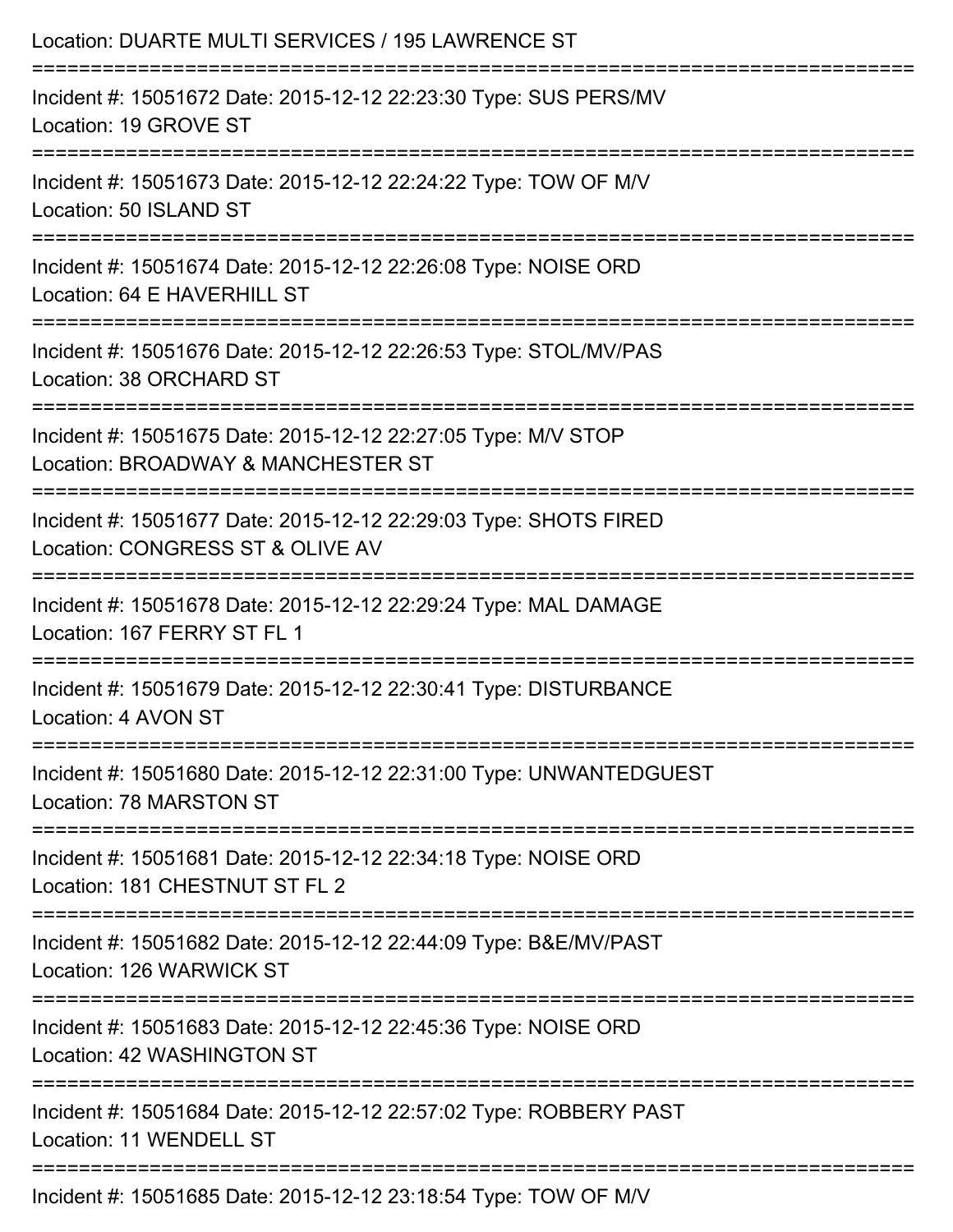| Location: DUARTE MULTI SERVICES / 195 LAWRENCE ST                                                                                          |
|--------------------------------------------------------------------------------------------------------------------------------------------|
| Incident #: 15051672 Date: 2015-12-12 22:23:30 Type: SUS PERS/MV<br>Location: 19 GROVE ST                                                  |
| Incident #: 15051673 Date: 2015-12-12 22:24:22 Type: TOW OF M/V<br>Location: 50 ISLAND ST<br>----------------------------------            |
| Incident #: 15051674 Date: 2015-12-12 22:26:08 Type: NOISE ORD<br>Location: 64 E HAVERHILL ST                                              |
| Incident #: 15051676 Date: 2015-12-12 22:26:53 Type: STOL/MV/PAS<br>Location: 38 ORCHARD ST                                                |
| :==================================<br>Incident #: 15051675 Date: 2015-12-12 22:27:05 Type: M/V STOP<br>Location: BROADWAY & MANCHESTER ST |
| Incident #: 15051677 Date: 2015-12-12 22:29:03 Type: SHOTS FIRED<br>Location: CONGRESS ST & OLIVE AV                                       |
| Incident #: 15051678 Date: 2015-12-12 22:29:24 Type: MAL DAMAGE<br>Location: 167 FERRY ST FL 1                                             |
| Incident #: 15051679 Date: 2015-12-12 22:30:41 Type: DISTURBANCE<br>Location: 4 AVON ST                                                    |
| Incident #: 15051680 Date: 2015-12-12 22:31:00 Type: UNWANTEDGUEST<br>Location: 78 MARSTON ST                                              |
| Incident #: 15051681 Date: 2015-12-12 22:34:18 Type: NOISE ORD<br>Location: 181 CHESTNUT ST FL 2                                           |
| Incident #: 15051682 Date: 2015-12-12 22:44:09 Type: B&E/MV/PAST<br>Location: 126 WARWICK ST                                               |
| Incident #: 15051683 Date: 2015-12-12 22:45:36 Type: NOISE ORD<br>Location: 42 WASHINGTON ST                                               |
| Incident #: 15051684 Date: 2015-12-12 22:57:02 Type: ROBBERY PAST<br>Location: 11 WENDELL ST                                               |
| Incident #: 15051685 Date: 2015-12-12 23:18:54 Type: TOW OF M/V                                                                            |